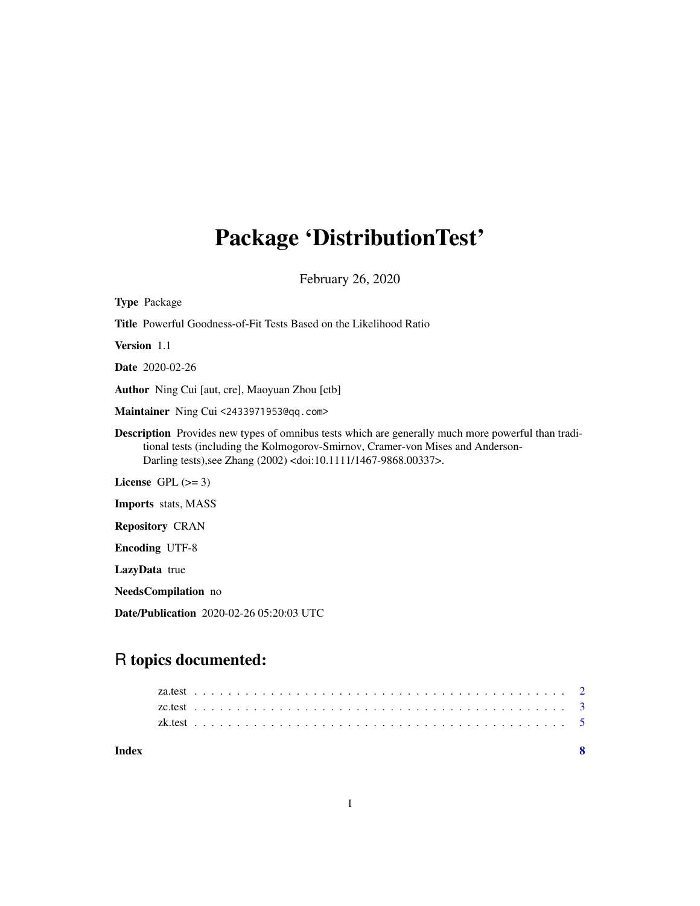# <span id="page-0-0"></span>Package 'DistributionTest'

February 26, 2020

| <b>Type Package</b>                                                                                                                                                                                                                                                      |
|--------------------------------------------------------------------------------------------------------------------------------------------------------------------------------------------------------------------------------------------------------------------------|
| <b>Title</b> Powerful Goodness-of-Fit Tests Based on the Likelihood Ratio                                                                                                                                                                                                |
| <b>Version</b> 1.1                                                                                                                                                                                                                                                       |
| <b>Date</b> 2020-02-26                                                                                                                                                                                                                                                   |
| <b>Author</b> Ning Cui [aut, cre], Maoyuan Zhou [ctb]                                                                                                                                                                                                                    |
| Maintainer Ning Cui <2433971953@qq.com>                                                                                                                                                                                                                                  |
| Description Provides new types of omnibus tests which are generally much more powerful than tradi-<br>tional tests (including the Kolmogorov-Smirnov, Cramer-von Mises and Anderson-<br>Darling tests), see Zhang (2002) <doi:10.1111 1467-9868.00337="">.</doi:10.1111> |
| License $GPL \, (>= 3)$                                                                                                                                                                                                                                                  |
| <b>Imports</b> stats, MASS                                                                                                                                                                                                                                               |
| <b>Repository CRAN</b>                                                                                                                                                                                                                                                   |
| <b>Encoding UTF-8</b>                                                                                                                                                                                                                                                    |
| LazyData true                                                                                                                                                                                                                                                            |
| <b>NeedsCompilation</b> no                                                                                                                                                                                                                                               |

Date/Publication 2020-02-26 05:20:03 UTC

# R topics documented:

| Index |  |  |  |  |  |  |  |  |  |  |  |  |  |  |  |  |  |  |  |  |  |  |  |
|-------|--|--|--|--|--|--|--|--|--|--|--|--|--|--|--|--|--|--|--|--|--|--|--|
|       |  |  |  |  |  |  |  |  |  |  |  |  |  |  |  |  |  |  |  |  |  |  |  |
|       |  |  |  |  |  |  |  |  |  |  |  |  |  |  |  |  |  |  |  |  |  |  |  |
|       |  |  |  |  |  |  |  |  |  |  |  |  |  |  |  |  |  |  |  |  |  |  |  |
|       |  |  |  |  |  |  |  |  |  |  |  |  |  |  |  |  |  |  |  |  |  |  |  |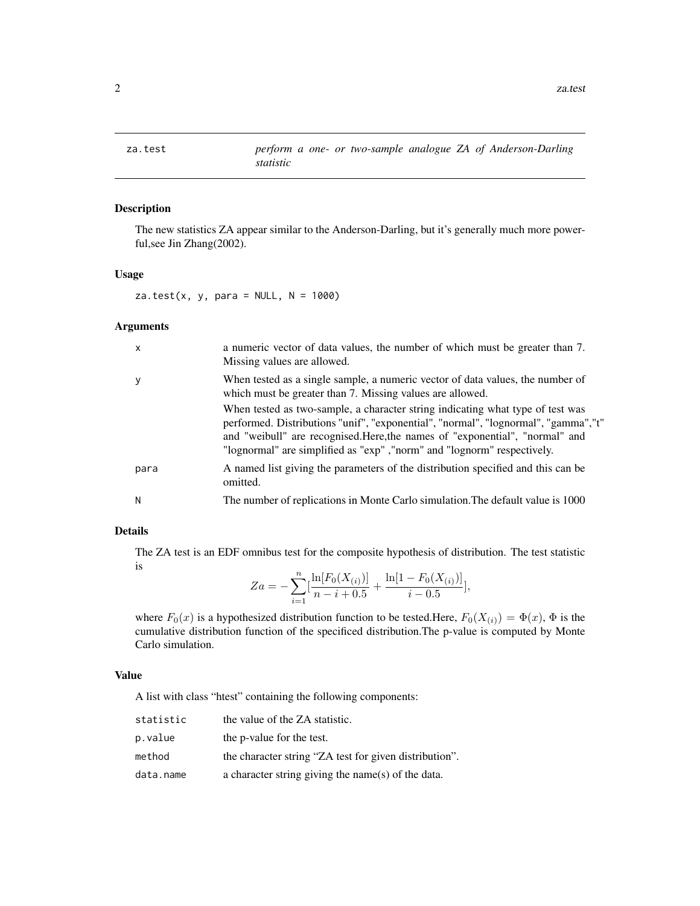<span id="page-1-1"></span><span id="page-1-0"></span>

# Description

The new statistics ZA appear similar to the Anderson-Darling, but it's generally much more powerful,see Jin Zhang(2002).

#### Usage

za.test(x, y, para =  $NULL, N = 1000)$ 

#### Arguments

| When tested as a single sample, a numeric vector of data values, the number of<br>У<br>which must be greater than 7. Missing values are allowed.<br>When tested as two-sample, a character string indicating what type of test was<br>and "weibull" are recognised. Here, the names of "exponential", "normal" and<br>"lognormal" are simplified as "exp", "norm" and "lognorm" respectively.<br>A named list giving the parameters of the distribution specified and this can be<br>para<br>omitted.<br>The number of replications in Monte Carlo simulation. The default value is 1000<br>N | X | a numeric vector of data values, the number of which must be greater than 7.<br>Missing values are allowed. |
|-----------------------------------------------------------------------------------------------------------------------------------------------------------------------------------------------------------------------------------------------------------------------------------------------------------------------------------------------------------------------------------------------------------------------------------------------------------------------------------------------------------------------------------------------------------------------------------------------|---|-------------------------------------------------------------------------------------------------------------|
|                                                                                                                                                                                                                                                                                                                                                                                                                                                                                                                                                                                               |   |                                                                                                             |
|                                                                                                                                                                                                                                                                                                                                                                                                                                                                                                                                                                                               |   | performed. Distributions "unif", "exponential", "normal", "lognormal", "gamma", "t"                         |
|                                                                                                                                                                                                                                                                                                                                                                                                                                                                                                                                                                                               |   |                                                                                                             |
|                                                                                                                                                                                                                                                                                                                                                                                                                                                                                                                                                                                               |   |                                                                                                             |

# Details

The ZA test is an EDF omnibus test for the composite hypothesis of distribution. The test statistic is

$$
Za = -\sum_{i=1}^{n} \left[ \frac{\ln[F_0(X_{(i)})]}{n-i+0.5} + \frac{\ln[1 - F_0(X_{(i)})]}{i-0.5} \right],
$$

where  $F_0(x)$  is a hypothesized distribution function to be tested.Here,  $F_0(X_{(i)}) = \Phi(x)$ ,  $\Phi$  is the cumulative distribution function of the specificed distribution.The p-value is computed by Monte Carlo simulation.

#### Value

A list with class "htest" containing the following components:

| statistic | the value of the ZA statistic.                         |
|-----------|--------------------------------------------------------|
| p.value   | the p-value for the test.                              |
| method    | the character string "ZA test for given distribution". |
| data.name | a character string giving the name(s) of the data.     |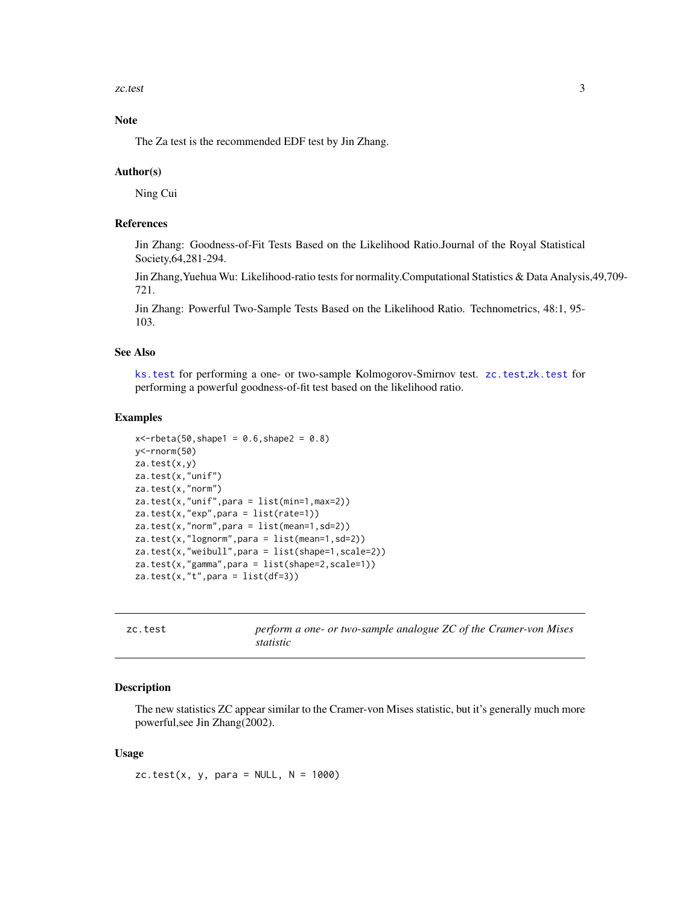<span id="page-2-0"></span>zc.test 3

# Note

The Za test is the recommended EDF test by Jin Zhang.

#### Author(s)

Ning Cui

# References

Jin Zhang: Goodness-of-Fit Tests Based on the Likelihood Ratio.Journal of the Royal Statistical Society,64,281-294.

Jin Zhang,Yuehua Wu: Likelihood-ratio tests for normality.Computational Statistics & Data Analysis,49,709- 721.

Jin Zhang: Powerful Two-Sample Tests Based on the Likelihood Ratio. Technometrics, 48:1, 95- 103.

#### See Also

[ks.test](#page-0-0) for performing a one- or two-sample Kolmogorov-Smirnov test. [zc.test](#page-2-1),[zk.test](#page-4-1) for performing a powerful goodness-of-fit test based on the likelihood ratio.

#### Examples

```
x < -rbeta(50, shape1 = 0.6, shape2 = 0.8)y<-rnorm(50)
za.test(x,y)
za.test(x,"unif")
za.test(x,"norm")
za.test(x,"unif",para = list(min=1,max=2))
za.test(x,"exp",para = list(rate=1))
za.test(x,"norm",para = list(mean=1,sd=2))
za.test(x,"lognorm",para = list(mean=1,sd=2))
za.test(x,"weibull",para = list(shape=1,scale=2))
za.test(x,"gamma",para = list(shape=2,scale=1))
za.test(x,"t", para = list(df=3))
```
<span id="page-2-1"></span>

| zc.test | perform a one- or two-sample analogue ZC of the Cramer-von Mises |
|---------|------------------------------------------------------------------|
|         | <i>statistic</i>                                                 |

#### **Description**

The new statistics ZC appear similar to the Cramer-von Mises statistic, but it's generally much more powerful,see Jin Zhang(2002).

#### Usage

zc.test(x, y, para =  $NULL, N = 1000$ )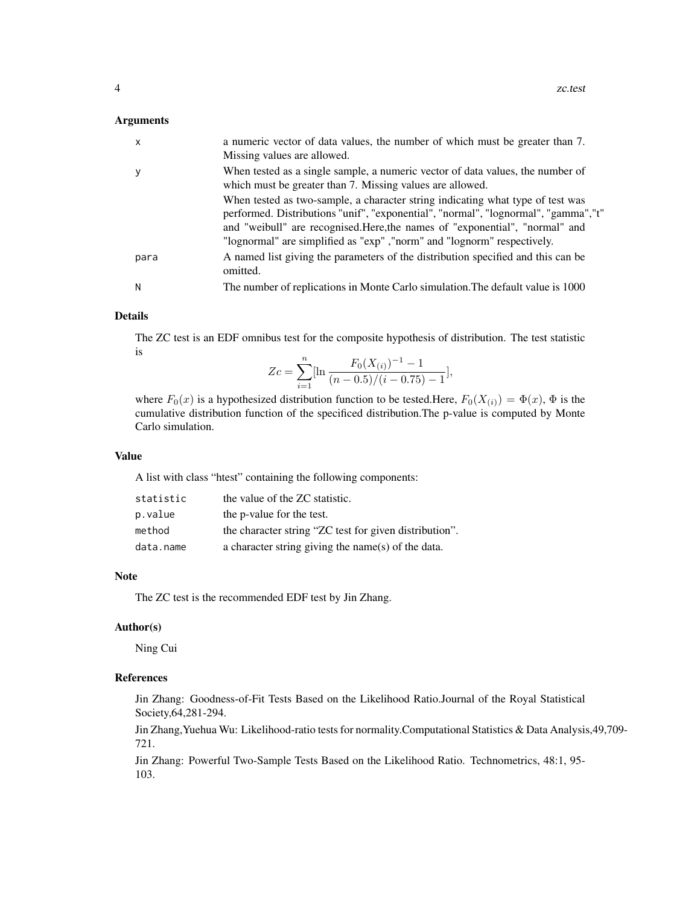#### Arguments

| $\mathsf{x}$ | a numeric vector of data values, the number of which must be greater than 7.<br>Missing values are allowed.                                                                                                                                                                                                                      |
|--------------|----------------------------------------------------------------------------------------------------------------------------------------------------------------------------------------------------------------------------------------------------------------------------------------------------------------------------------|
| У            | When tested as a single sample, a numeric vector of data values, the number of<br>which must be greater than 7. Missing values are allowed.                                                                                                                                                                                      |
|              | When tested as two-sample, a character string indicating what type of test was<br>performed. Distributions "unif", "exponential", "normal", "lognormal", "gamma", "t"<br>and "weibull" are recognised. Here, the names of "exponential", "normal" and<br>"lognormal" are simplified as "exp", "norm" and "lognorm" respectively. |
| para         | A named list giving the parameters of the distribution specified and this can be<br>omitted.                                                                                                                                                                                                                                     |
| N            | The number of replications in Monte Carlo simulation. The default value is 1000                                                                                                                                                                                                                                                  |

#### Details

The ZC test is an EDF omnibus test for the composite hypothesis of distribution. The test statistic is

$$
Zc = \sum_{i=1}^{n} \left[\ln \frac{F_0(X_{(i)})^{-1} - 1}{(n - 0.5)/(i - 0.75) - 1}\right],
$$

where  $F_0(x)$  is a hypothesized distribution function to be tested.Here,  $F_0(X_{(i)}) = \Phi(x)$ ,  $\Phi$  is the cumulative distribution function of the specificed distribution.The p-value is computed by Monte Carlo simulation.

#### Value

A list with class "htest" containing the following components:

| statistic | the value of the ZC statistic.                         |
|-----------|--------------------------------------------------------|
| p.value   | the p-value for the test.                              |
| method    | the character string "ZC test for given distribution". |
| data.name | a character string giving the name(s) of the data.     |

#### Note

The ZC test is the recommended EDF test by Jin Zhang.

#### Author(s)

Ning Cui

# References

Jin Zhang: Goodness-of-Fit Tests Based on the Likelihood Ratio.Journal of the Royal Statistical Society,64,281-294.

Jin Zhang,Yuehua Wu: Likelihood-ratio tests for normality.Computational Statistics & Data Analysis,49,709- 721.

Jin Zhang: Powerful Two-Sample Tests Based on the Likelihood Ratio. Technometrics, 48:1, 95- 103.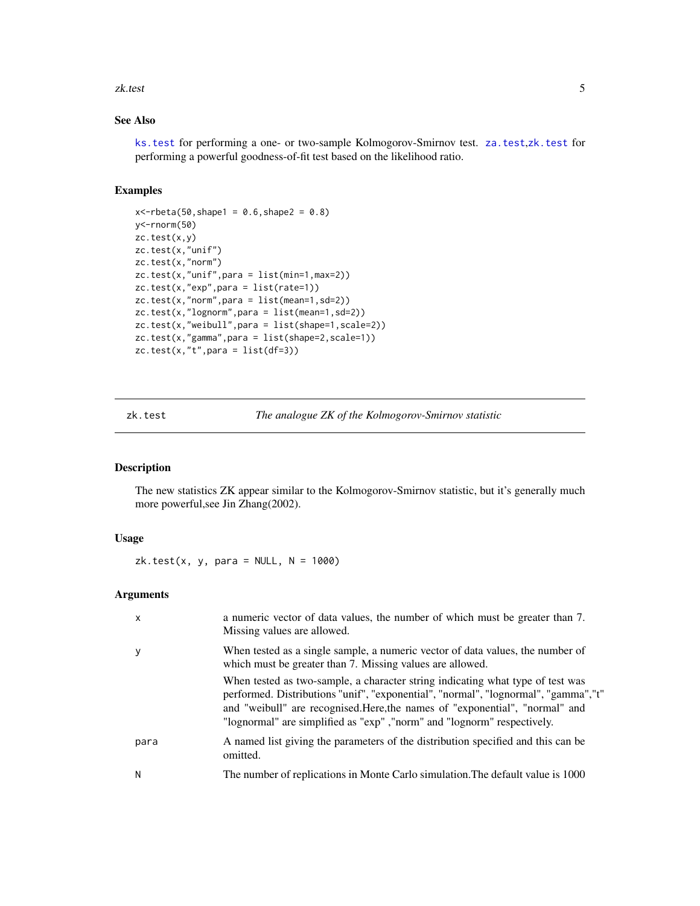#### <span id="page-4-0"></span>zk.test 5

# See Also

[ks.test](#page-0-0) for performing a one- or two-sample Kolmogorov-Smirnov test. [za.test](#page-1-1),[zk.test](#page-4-1) for performing a powerful goodness-of-fit test based on the likelihood ratio.

#### Examples

```
x < -rbeta(50, shape1 = 0.6, shape2 = 0.8)y<-rnorm(50)
zc.test(x,y)
zc.test(x,"unif")
zc.test(x,"norm")
zc.test(x,"unif",para = list(min=1,max=2))zc.test(x,"exp",para = list(rate=1))
zc.test(x,"norm",para = list(mean=1,sd=2))
zc.test(x,"lognorm",para = list(mean=1,sd=2))
zc.test(x,"weibull",para = list(shape=1,scale=2))
zc.test(x,"gamma",para = list(shape=2,scale=1))
zc.test(x,"t",para = list(df=3))
```
<span id="page-4-1"></span>zk.test *The analogue ZK of the Kolmogorov-Smirnov statistic*

# Description

The new statistics ZK appear similar to the Kolmogorov-Smirnov statistic, but it's generally much more powerful,see Jin Zhang(2002).

#### Usage

 $zk.test(x, y, para = NULL, N = 1000)$ 

#### Arguments

| $\mathsf{x}$ | a numeric vector of data values, the number of which must be greater than 7.<br>Missing values are allowed.                                                                                                                                                                                                                     |
|--------------|---------------------------------------------------------------------------------------------------------------------------------------------------------------------------------------------------------------------------------------------------------------------------------------------------------------------------------|
| y            | When tested as a single sample, a numeric vector of data values, the number of<br>which must be greater than 7. Missing values are allowed.                                                                                                                                                                                     |
|              | When tested as two-sample, a character string indicating what type of test was<br>performed. Distributions "unif", "exponential", "normal", "lognormal", "gamma","t"<br>and "weibull" are recognised. Here, the names of "exponential", "normal" and<br>"lognormal" are simplified as "exp", "norm" and "lognorm" respectively. |
| para         | A named list giving the parameters of the distribution specified and this can be<br>omitted.                                                                                                                                                                                                                                    |
| N            | The number of replications in Monte Carlo simulation. The default value is 1000                                                                                                                                                                                                                                                 |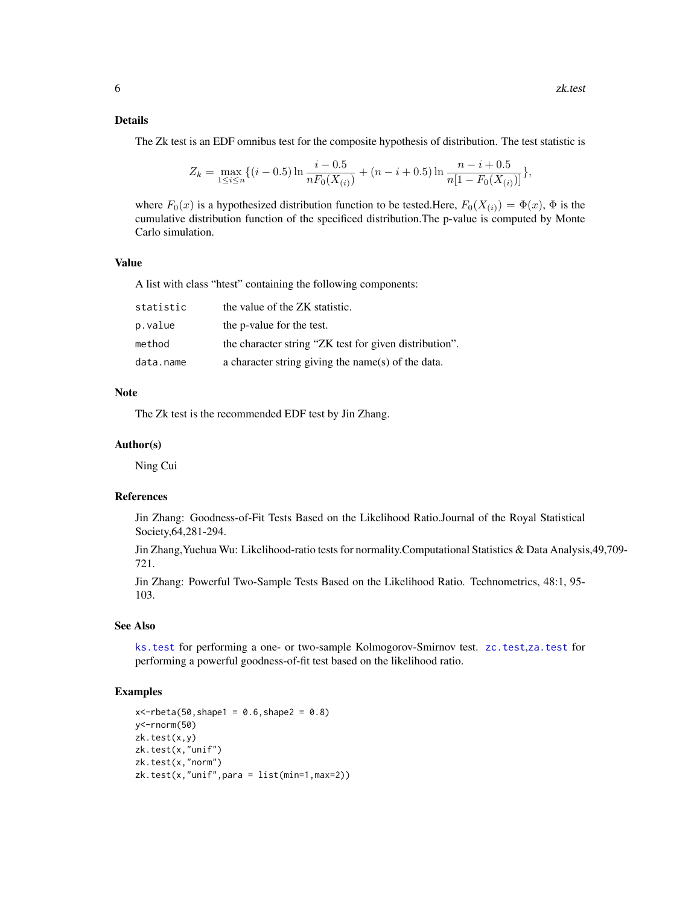### <span id="page-5-0"></span>Details

The Zk test is an EDF omnibus test for the composite hypothesis of distribution. The test statistic is

$$
Z_k = \max_{1 \le i \le n} \{ (i - 0.5) \ln \frac{i - 0.5}{n F_0(X_{(i)})} + (n - i + 0.5) \ln \frac{n - i + 0.5}{n [1 - F_0(X_{(i)})]} \},
$$

where  $F_0(x)$  is a hypothesized distribution function to be tested.Here,  $F_0(X_{(i)}) = \Phi(x)$ ,  $\Phi$  is the cumulative distribution function of the specificed distribution.The p-value is computed by Monte Carlo simulation.

# Value

A list with class "htest" containing the following components:

| statistic | the value of the ZK statistic.                         |
|-----------|--------------------------------------------------------|
| p.value   | the p-value for the test.                              |
| method    | the character string "ZK test for given distribution". |
| data.name | a character string giving the name(s) of the data.     |

#### **Note**

The Zk test is the recommended EDF test by Jin Zhang.

#### Author(s)

Ning Cui

# References

Jin Zhang: Goodness-of-Fit Tests Based on the Likelihood Ratio.Journal of the Royal Statistical Society,64,281-294.

Jin Zhang,Yuehua Wu: Likelihood-ratio tests for normality.Computational Statistics & Data Analysis,49,709- 721.

Jin Zhang: Powerful Two-Sample Tests Based on the Likelihood Ratio. Technometrics, 48:1, 95- 103.

### See Also

[ks.test](#page-0-0) for performing a one- or two-sample Kolmogorov-Smirnov test. [zc.test](#page-2-1),[za.test](#page-1-1) for performing a powerful goodness-of-fit test based on the likelihood ratio.

#### Examples

```
x < -rbeta(50, shape1 = 0.6, shape2 = 0.8)y<-rnorm(50)
zk.test(x,y)
zk.test(x,"unif")
zk.test(x,"norm")
zk.test(x,"unif",para = list(min=1,max=2))
```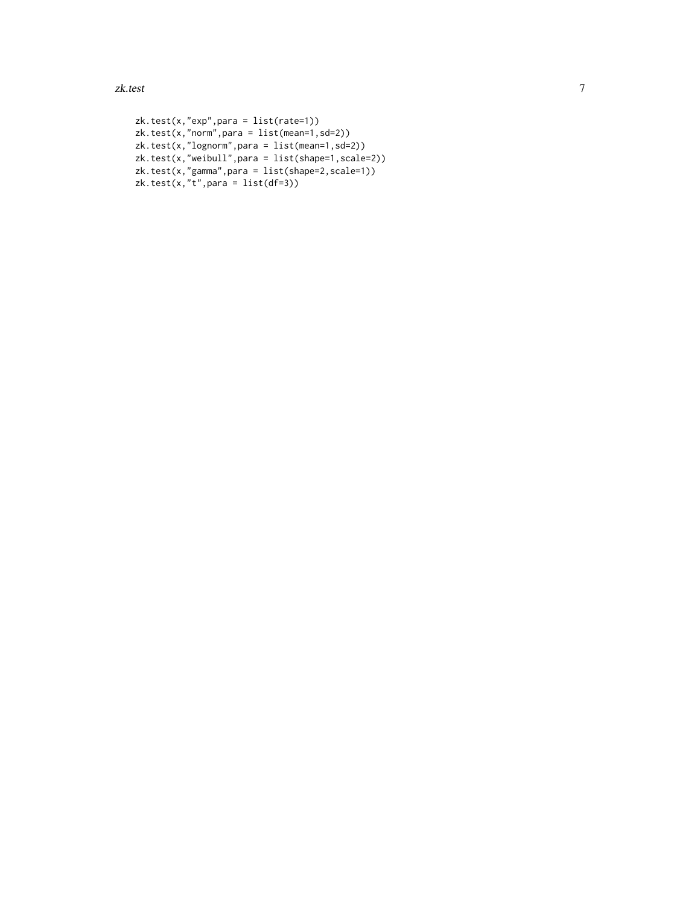zk.test 7

```
zk.test(x,"exp",para = list(rate=1))
zk.test(x,"norm",para = list(mean=1,sd=2))
zk.test(x,"lognorm",para = list(mean=1,sd=2))
zk.test(x,"weibull",para = list(shape=1,scale=2))
zk.test(x,"gamma",para = list(shape=2,scale=1))
zk.test(x,"t",para = list(df=3))
```